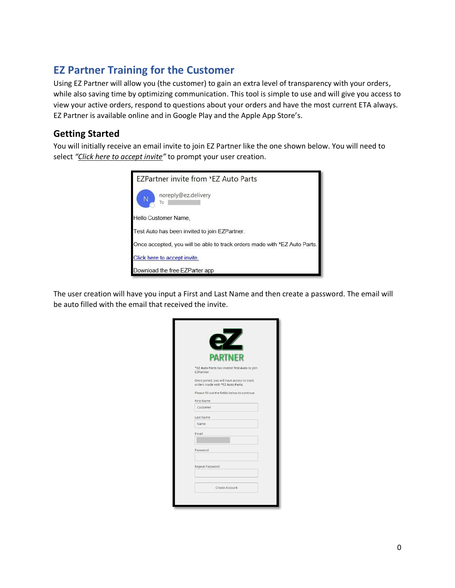# **EZ Partner Training for the Customer**

Using EZ Partner will allow you (the customer) to gain an extra level of transparency with your orders, while also saving time by optimizing communication. This tool is simple to use and will give you access to view your active orders, respond to questions about your orders and have the most current ETA always. EZ Partner is available online and in Google Play and the Apple App Store's.

## **Getting Started**

You will initially receive an email invite to join EZ Partner like the one shown below. You will need to select *"Click here to accept invite"* to prompt your user creation.



The user creation will have you input a First and Last Name and then create a password. The email will be auto filled with the email that received the invite.

|                 | <b>PARTNER</b>                                                                 |
|-----------------|--------------------------------------------------------------------------------|
| EZPartner.      | *EZ Auto Parts has invited Test Auto to join                                   |
|                 | Once joined, you will have access to track<br>orders made with *EZ Auto Parts. |
|                 | Please fill out the fields below to continue.                                  |
| First Name      |                                                                                |
| Customer        |                                                                                |
| Last Name       |                                                                                |
| Name            |                                                                                |
| Email           |                                                                                |
| Password        |                                                                                |
| Repeat Password |                                                                                |
|                 | Create Account                                                                 |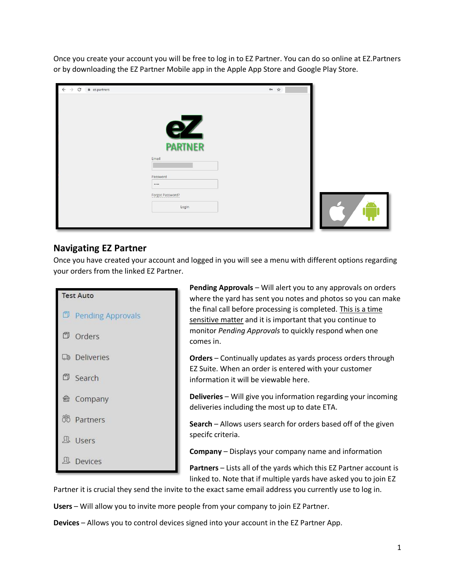Once you create your account you will be free to log in to EZ Partner. You can do so online at EZ.Partners or by downloading the EZ Partner Mobile app in the Apple App Store and Google Play Store.

| $\leftarrow$ $\rightarrow$ C<br>$\hat{=}$ ez.partners |                  | or $\forall$ |  |
|-------------------------------------------------------|------------------|--------------|--|
|                                                       |                  |              |  |
|                                                       |                  |              |  |
|                                                       | $\Box$           |              |  |
|                                                       | <b>PARTNER</b>   |              |  |
|                                                       | Email            |              |  |
|                                                       | Password         |              |  |
|                                                       |                  |              |  |
|                                                       | Forgot Password? |              |  |
|                                                       | Login            |              |  |
|                                                       |                  |              |  |

#### **Navigating EZ Partner**

Once you have created your account and logged in you will see a menu with different options regarding your orders from the linked EZ Partner.



**Pending Approvals** – Will alert you to any approvals on orders where the yard has sent you notes and photos so you can make the final call before processing is completed. This is a time sensitive matter and it is important that you continue to monitor *Pending Approvals* to quickly respond when one comes in.

**Orders** – Continually updates as yards process orders through EZ Suite. When an order is entered with your customer information it will be viewable here.

**Deliveries** – Will give you information regarding your incoming deliveries including the most up to date ETA.

**Search** – Allows users search for orders based off of the given specifc criteria.

**Company** – Displays your company name and information

**Partners** – Lists all of the yards which this EZ Partner account is linked to. Note that if multiple yards have asked you to join EZ

Partner it is crucial they send the invite to the exact same email address you currently use to log in.

**Users** – Will allow you to invite more people from your company to join EZ Partner.

**Devices** – Allows you to control devices signed into your account in the EZ Partner App.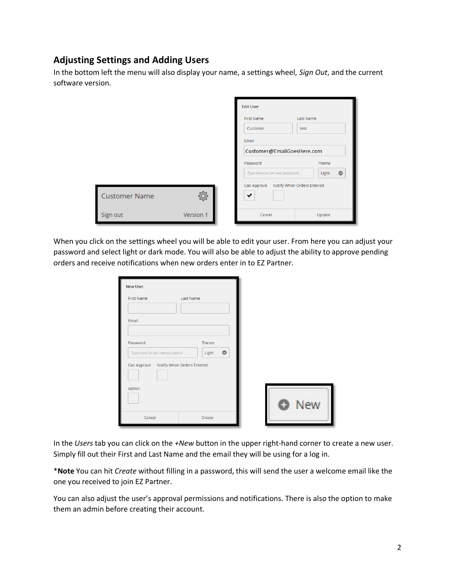## **Adjusting Settings and Adding Users**

In the bottom left the menu will also display your name, a settings wheel, *Sign Out*, and the current software version.

|                      |           | <b>Edit User</b>              |                            |        |           |
|----------------------|-----------|-------------------------------|----------------------------|--------|-----------|
|                      |           | <b>First Name</b>             | <b>Last Name</b>           |        |           |
|                      |           | Customer                      |                            | test   |           |
|                      |           | Email                         |                            |        |           |
|                      |           |                               | Customer@EmailGoesHere.com |        |           |
|                      |           | Password                      | Theme                      |        |           |
|                      |           | Type here to set new password |                            | Light  | $\bullet$ |
| <b>Customer Name</b> |           | Can Approve<br>$\cdot$        | Notify When Orders Entered |        |           |
| Sign out             | Version 1 | Cancel                        |                            | Update |           |

When you click on the settings wheel you will be able to edit your user. From here you can adjust your password and select light or dark mode. You will also be able to adjust the ability to approve pending orders and receive notifications when new orders enter in to EZ Partner.

| First Name                    | Last Name                                                  |     |
|-------------------------------|------------------------------------------------------------|-----|
| Email                         |                                                            |     |
| Password                      | Theme                                                      |     |
| Type here to set new password | $\circ$<br>Light<br>Can Approve Notify When Orders Entered |     |
|                               |                                                            |     |
|                               |                                                            |     |
| Admin                         |                                                            |     |
|                               |                                                            | New |

In the *Users* tab you can click on the *+New* button in the upper right-hand corner to create a new user. Simply fill out their First and Last Name and the email they will be using for a log in.

\***Note** You can hit *Create* without filling in a password, this will send the user a welcome email like the one you received to join EZ Partner.

You can also adjust the user's approval permissions and notifications. There is also the option to make them an admin before creating their account.